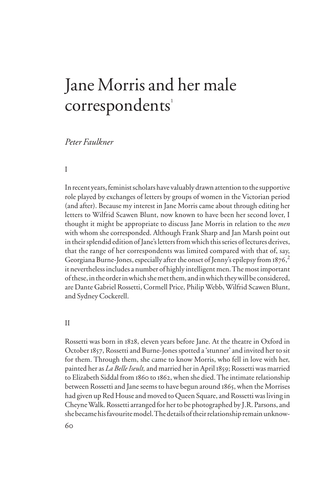# Jane Morris and her male correspondents<sup>1</sup>

## *Peter Faulkner*

## I

In recent years, feminist scholars have valuably drawn attention to the supportive role played by exchanges of letters by groups of women in the Victorian period (and after). Because my interest in Jane Morris came about through editing her letters to Wilfrid Scawen Blunt, now known to have been her second lover, I thought it might be appropriate to discuss Jane Morris in relation to the *men*  with whom she corresponded. Although Frank Sharp and Jan Marsh point out in their splendid edition of Jane's letters from which this series of lectures derives, that the range of her correspondents was limited compared with that of, say, Georgiana Burne-Jones, especially after the onset of Jenny's epilepsy from 1876, $^2$ it nevertheless includes a number of highly intelligent men. The most important of these, in the order in which she met them, and in which they will be considered, are Dante Gabriel Rossetti, Cormell Price, Philip Webb, Wilfrid Scawen Blunt, and Sydney Cockerell.

#### II

Rossetti was born in 1828, eleven years before Jane. At the theatre in Oxford in October 1857, Rossetti and Burne-Jones spotted a 'stunner' and invited her to sit for them. Through them, she came to know Morris, who fell in love with her, painted her as *La Belle Iseult,* and married her in April 1859; Rossetti was married to Elizabeth Siddal from 1860 to 1862, when she died. The intimate relationship between Rossetti and Jane seems to have begun around 1865, when the Morrises had given up Red House and moved to Queen Square, and Rossetti was living in Cheyne Walk. Rossetti arranged for her to be photographed by J.R. Parsons, and she became his favourite model. The details of their relationship remain unknow-

60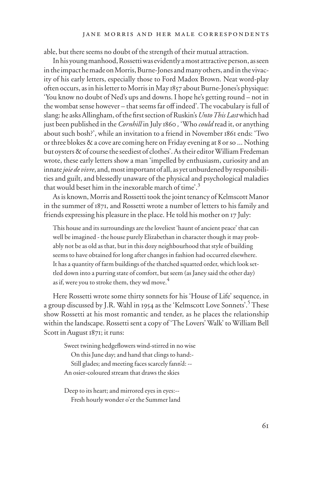able, but there seems no doubt of the strength of their mutual attraction.

In his young manhood, Rossetti was evidently a most attractive person, as seen in the impact he made on Morris, Burne-Jones and many others, and in the vivacity of his early letters, especially those to Ford Madox Brown. Neat word-play often occurs, as in his letter to Morris in May 1857 about Burne-Jones's physique: 'You know no doubt of Ned's ups and downs. I hope he's getting round – not in the wombat sense however – that seems far off indeed'. The vocabulary is full of slang: he asks Allingham, of the first section of Ruskin's *Unto This Last* which had just been published in the *Cornhill* in July 1860 *,* 'Who *could* read it, or anything about such bosh?', while an invitation to a friend in November 1861 ends: 'Two or three blokes & a cove are coming here on Friday evening at 8 or so ... Nothing but oysters & of course the seediest of clothes'.As their editor William Fredeman wrote, these early letters show a man 'impelled by enthusiasm, curiosity and an innate *joie de vivre*, and, most important of all, as yet unburdened by responsibilities and guilt, and blessedly unaware of the physical and psychological maladies that would beset him in the inexorable march of time'.<sup>3</sup>

As is known, Morris and Rossetti took the joint tenancy of Kelmscott Manor in the summer of 1871, and Rossetti wrote a number of letters to his family and friends expressing his pleasure in the place. He told his mother on 17 July:

This house and its surroundings are the loveliest 'haunt of ancient peace' that can well be imagined - the house purely Elizabethan in character though it may probably not be as old as that, but in this dozy neighbourhood that style of building seems to have obtained for long after changes in fashion had occurred elsewhere. It has a quantity of farm buildings of the thatched squatted order, which look settled down into a purring state of comfort, but seem (as Janey said the other day) as if, were you to stroke them, they wd move.<sup>4</sup>

Here Rossetti wrote some thirty sonnets for his 'House of Life' sequence, in a group discussed by J.R. Wahl in 1954 as the 'Kelmscott Love Sonnets'.<sup>5</sup> These show Rossetti at his most romantic and tender, as he places the relationship within the landscape. Rossetti sent a copy of 'The Lovers' Walk' to William Bell Scott in August 1871; it runs:

Sweet twining hedgeflowers wind-stirred in no wise On this June day; and hand that clings to hand:- Still glades; and meeting faces scarcely fann'd: -- An osier-coloured stream that draws the skies

Deep to its heart; and mirrored eyes in eyes:-- Fresh hourly wonder o'er the Summer land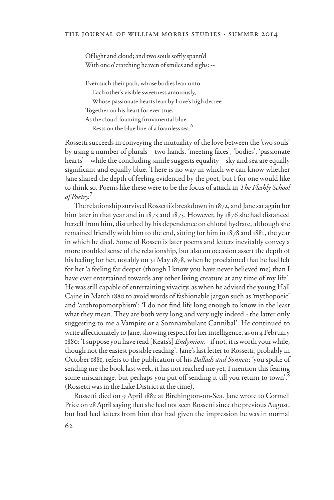Of light and cloud; and two souls softly spann'd With one o'erarching heaven of smiles and sighs: --

Even such their path, whose bodies lean unto Each other's visible sweetness amorously, -- Whose passionate hearts lean by Love's high decree Together on his heart for ever true, As the cloud-foaming firmamental blue Rests on the blue line of a foamless sea.<sup>6</sup>

Rossetti succeeds in conveying the mutuality of the love between the 'two souls' by using a number of plurals – two hands, 'meeting faces', 'bodies', 'passionate hearts' – while the concluding simile suggests equality – sky and sea are equally significant and equally blue. There is no way in which we can know whether Jane shared the depth of feeling evidenced by the poet, but I for one would like to think so. Poems like these were to be the focus of attack in *The Fleshly School of Poetry.*<sup>7</sup>

The relationship survived Rossetti's breakdown in 1872, and Jane sat again for him later in that year and in 1873 and 1875. However, by 1876 she had distanced herself from him, disturbed by his dependence on chloral hydrate, although she remained friendly with him to the end, sitting for him in 1878 and 1881, the year in which he died. Some of Rossetti's later poems and letters inevitably convey a more troubled sense of the relationship, but also on occasion assert the depth of his feeling for her, notably on 31 May 1878, when he proclaimed that he had felt for her 'a feeling far deeper (though I know you have never believed me) than I have ever entertained towards any other living creature at any time of my life'. He was still capable of entertaining vivacity, as when he advised the young Hall Caine in March 1880 to avoid words of fashionable jargon such as 'mythopoeic' and 'anthropomorphism': 'I do not find life long enough to know in the least what they mean. They are both very long and very ugly indeed - the latter only suggesting to me a Vampire or a Somnambulant Cannibal'. He continued to write affectionately to Jane, showing respect for her intelligence, as on 4 February 1880: 'I suppose you have read [Keats's] *Endymion,* - if not, it is worth your while, though not the easiest possible reading'. Jane's last letter to Rossetti, probably in October 1881, refers to the publication of his *Ballads and Sonnets*: 'you spoke of sending me the book last week, it has not reached me yet, I mention this fearing some miscarriage, but perhaps you put off sending it till you return to town'.<sup>8</sup> (Rossetti was in the Lake District at the time).

Rossetti died on 9 April 1882 at Birchington-on-Sea. Jane wrote to Cormell Price on 28 April saying that she had not seen Rossetti since the previous August, but had had letters from him that had given the impression he was in normal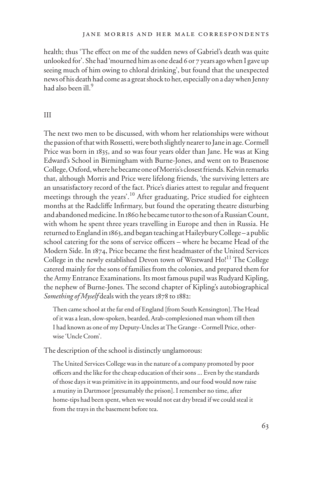health; thus 'The effect on me of the sudden news of Gabriel's death was quite unlooked for'. She had 'mourned him as one dead 6 or 7 years ago when I gave up seeing much of him owing to chloral drinking', but found that the unexpected news of his death had come as a great shock to her, especially on a day when Jenny had also been ill.<sup>9</sup>

#### III

The next two men to be discussed, with whom her relationships were without the passion of that with Rossetti, were both slightly nearer to Jane in age. Cormell Price was born in 1835, and so was four years older than Jane. He was at King Edward's School in Birmingham with Burne-Jones, and went on to Brasenose College, Oxford, where he became one of Morris's closest friends. Kelvin remarks that, although Morris and Price were lifelong friends, 'the surviving letters are an unsatisfactory record of the fact. Price's diaries attest to regular and frequent meetings through the years'.<sup>10</sup> After graduating, Price studied for eighteen months at the Radcliffe Infirmary, but found the operating theatre disturbing and abandoned medicine. In 1860 he became tutor to the son of a Russian Count, with whom he spent three years travelling in Europe and then in Russia. He returned to England in 1863, and began teaching at Haileybury College – a public school catering for the sons of service officers – where he became Head of the Modern Side. In 1874, Price became the first headmaster of the United Services College in the newly established Devon town of Westward Ho!<sup>11</sup> The College catered mainly for the sons of families from the colonies, and prepared them for the Army Entrance Examinations. Its most famous pupil was Rudyard Kipling, the nephew of Burne-Jones. The second chapter of Kipling's autobiographical *Something of Myself* deals with the years 1878 to 1882:

Then came school at the far end of England [from South Kensington]. The Head of it was a lean, slow-spoken, bearded, Arab-complexioned man whom till then I had known as one of my Deputy-Uncles at The Grange - Cormell Price, otherwise 'Uncle Crom'.

The description of the school is distinctly unglamorous:

The United Services College was in the nature of a company promoted by poor officers and the like for the cheap education of their sons ... Even by the standards of those days it was primitive in its appointments, and our food would now raise a mutiny in Dartmoor [presumably the prison]. I remember no time, after home-tips had been spent, when we would not eat dry bread if we could steal it from the trays in the basement before tea.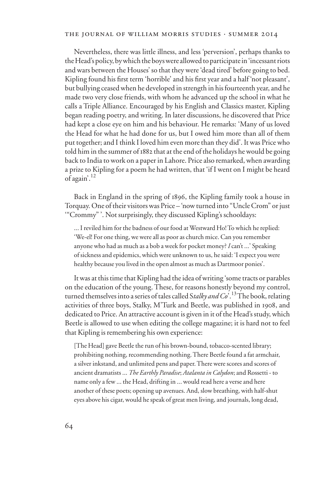#### the journal of william morris studies . summer 2014

Nevertheless, there was little illness, and less 'perversion', perhaps thanks to the Head's policy, by which the boys were allowed to participate in 'incessant riots and wars between the Houses' so that they were 'dead tired' before going to bed. Kipling found his first term 'horrible' and his first year and a half 'not pleasant', but bullying ceased when he developed in strength in his fourteenth year, and he made two very close friends, with whom he advanced up the school in what he calls a Triple Alliance. Encouraged by his English and Classics master, Kipling began reading poetry, and writing. In later discussions, he discovered that Price had kept a close eye on him and his behaviour. He remarks: 'Many of us loved the Head for what he had done for us, but I owed him more than all of them put together; and I think I loved him even more than they did'. It was Price who told him in the summer of 1882 that at the end of the holidays he would be going back to India to work on a paper in Lahore. Price also remarked, when awarding a prize to Kipling for a poem he had written, that 'if I went on I might be heard of again'.<sup>12</sup>

Back in England in the spring of 1896, the Kipling family took a house in Torquay. One of their visitors was Price – 'now turned into "Uncle Crom" or just '"Crommy" '. Not surprisingly, they discussed Kipling's schooldays:

... I reviled him for the badness of our food at Westward Ho! To which he replied: 'We-el! For one thing, we were all as poor as church mice. Can you remember anyone who had as much as a bob a week for pocket money? *I* can't ...' Speaking of sickness and epidemics, which were unknown to us, he said: 'I expect you were healthy because you lived in the open almost as much as Dartmoor ponies'.

It was at this time that Kipling had the idea of writing 'some tracts or parables on the education of the young. These, for reasons honestly beyond my control, turned themselves into a series of tales called S*talky and Co*'.13 The book, relating activities of three boys, Stalky, M'Turk and Beetle, was published in 1908, and dedicated to Price. An attractive account is given in it of the Head's study, which Beetle is allowed to use when editing the college magazine; it is hard not to feel that Kipling is remembering his own experience:

[The Head] gave Beetle the run of his brown-bound, tobacco-scented library; prohibiting nothing, recommending nothing. There Beetle found a fat armchair, a silver inkstand, and unlimited pens and paper. There were scores and scores of ancient dramatists ... *The Earthly Paradise*; *Atalanta in Calydon*; and Rossetti - to name only a few ... the Head, drifting in ... would read here a verse and here another of these poets; opening up avenues. And, slow breathing, with half-shut eyes above his cigar, would he speak of great men living, and journals, long dead,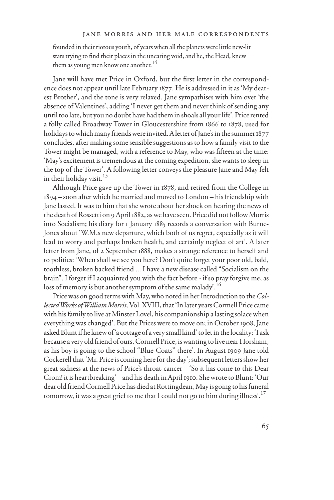#### jane morris and her male correspondents

founded in their riotous youth, of years when all the planets were little new-lit stars trying to find their places in the uncaring void, and he, the Head, knew them as young men know one another.<sup>14</sup>

Jane will have met Price in Oxford, but the first letter in the correspondence does not appear until late February 1877. He is addressed in it as 'My dearest Brother', and the tone is very relaxed. Jane sympathises with him over 'the absence of Valentines', adding 'I never get them and never think of sending any until too late, but you no doubt have had them in shoals all your life'. Price rented a folly called Broadway Tower in Gloucestershire from 1866 to 1878, used for holidays to which many friends were invited. A letter of Jane's in the summer 1877 concludes, after making some sensible suggestions as to how a family visit to the Tower might be managed, with a reference to May, who was fifteen at the time: 'May's excitement is tremendous at the coming expedition, she wants to sleep in the top of the Tower'. A following letter conveys the pleasure Jane and May felt in their holiday visit.<sup>15</sup>

Although Price gave up the Tower in 1878, and retired from the College in 1894 – soon after which he married and moved to London – his friendship with Jane lasted. It was to him that she wrote about her shock on hearing the news of the death of Rossetti on 9 April 1882, as we have seen. Price did not follow Morris into Socialism; his diary for 1 January 1885 records a conversation with Burne-Jones about 'W.M.s new departure, which both of us regret, especially as it will lead to worry and perhaps broken health, and certainly neglect of art'. A later letter from Jane, of 2 September 1888, makes a strange reference to herself and to politics: 'When shall we see you here? Don't quite forget your poor old, bald, toothless, broken backed friend ... I have a new disease called "Socialism on the brain". I forget if I acquainted you with the fact before - if so pray forgive me, as loss of memory is but another symptom of the same malady'.<sup>16</sup>

Price was on good terms with May, who noted in her Introduction to the *Collected Works of William Morris,* Vol. XVIII, that 'In later years Cormell Price came with his family to live at Minster Lovel, his companionship a lasting solace when everything was changed'. But the Prices were to move on; in October 1908, Jane asked Blunt if he knew of 'a cottage of a very small kind' to let in the locality: 'I ask because a very old friend of ours, Cormell Price, is wanting to live near Horsham, as his boy is going to the school "Blue-Coats" there'. In August 1909 Jane told Cockerell that 'Mr. Price is coming here for the day'; subsequent letters show her great sadness at the news of Price's throat-cancer – 'So it has come to this Dear Crom! it is heartbreaking' – and his death in April 1910. She wrote to Blunt: 'Our dear old friend Cormell Price has died at Rottingdean, May is going to his funeral tomorrow, it was a great grief to me that I could not go to him during illness'.<sup>17</sup>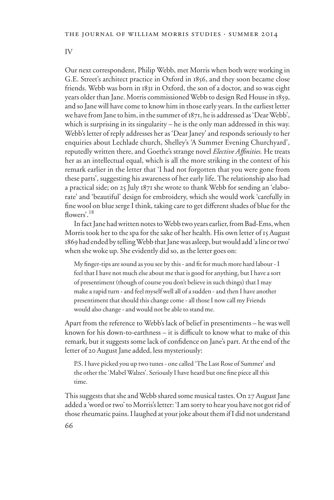IV

Our next correspondent, Philip Webb, met Morris when both were working in G.E. Street's architect practice in Oxford in 1856, and they soon became close friends. Webb was born in 1831 in Oxford, the son of a doctor, and so was eight years older than Jane. Morris commissioned Webb to design Red House in 1859, and so Jane will have come to know him in those early years. In the earliest letter we have from Jane to him, in the summer of 1871, he is addressed as 'Dear Webb', which is surprising in its singularity – he is the only man addressed in this way. Webb's letter of reply addresses her as 'Dear Janey' and responds seriously to her enquiries about Lechlade church, Shelley's 'A Summer Evening Churchyard', reputedly written there, and Goethe's strange novel *Elective AYnities.* He treats her as an intellectual equal, which is all the more striking in the context of his remark earlier in the letter that 'I had not forgotten that you were gone from these parts', suggesting his awareness of her early life. The relationship also had a practical side; on 25 July 1871 she wrote to thank Webb for sending an 'elaborate' and 'beautiful' design for embroidery, which she would work 'carefully in fine wool on blue serge I think, taking care to get different shades of blue for the  $flowers'$ <sup>18</sup>

In fact Jane had written notes to Webb two years earlier, from Bad-Ems, when Morris took her to the spa for the sake of her health. His own letter of 15 August 1869 had ended by telling Webb that Jane was asleep, but would add 'a line or two' when she woke up. She evidently did so, as the letter goes on:

My finger-tips are sound as you see by this - and fit for much more hard labour - I feel that I have not much else about me that is good for anything, but I have a sort of presentiment (though of course you don't believe in such things) that I may make a rapid turn - and feel myself well all of a sudden - and then I have another presentiment that should this change come - all those I now call my Friends would also change - and would not be able to stand me.

Apart from the reference to Webb's lack of belief in presentiments – he was well known for his down-to-earthness  $-$  it is difficult to know what to make of this remark, but it suggests some lack of confidence on Jane's part. At the end of the letter of 20 August Jane added, less mysteriously:

P.S. I have picked you up two tunes - one called 'The Last Rose of Summer' and the other the 'Mabel Walzes'. Seriously I have heard but one fine piece all this time.

This suggests that she and Webb shared some musical tastes. On 27 August Jane added a 'word or two' to Morris's letter: 'I am sorry to hear you have not got rid of those rheumatic pains. I laughed at your joke about them if I did not understand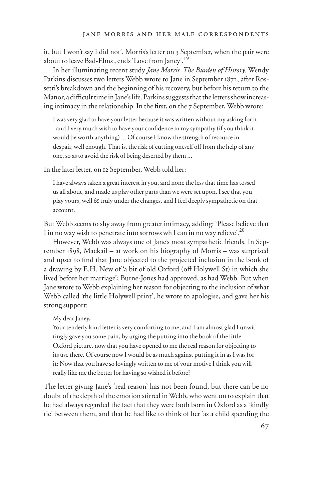it, but I won't say I did not'. Morris's letter on 3 September, when the pair were about to leave Bad-Elms, ends 'Love from Janey'.<sup>19</sup>

In her illuminating recent study *Jane Morris. The Burden of History,* Wendy Parkins discusses two letters Webb wrote to Jane in September 1872, after Rossetti's breakdown and the beginning of his recovery, but before his return to the Manor, a difficult time in Jane's life. Parkins suggests that the letters show increasing intimacy in the relationship. In the first, on the 7 September, Webb wrote:

 I was very glad to have your letter because it was written without my asking for it - and I very much wish to have your confidence in my sympathy (if you think it would be worth anything) ... Of course I know the strength of resource in despair, well enough. That is, the risk of cutting oneself off from the help of any one, so as to avoid the risk of being deserted by them ...

In the later letter, on 12 September, Webb told her:

I have always taken a great interest in you, and none the less that time has tossed us all about, and made us play other parts than we were set upon. I see that you play yours, well & truly under the changes, and I feel deeply sympathetic on that account.

But Webb seems to shy away from greater intimacy, adding: 'Please believe that I in no way wish to penetrate into sorrows wh I can in no way relieve'.<sup>20</sup>

However, Webb was always one of Jane's most sympathetic friends. In September 1898, Mackail – at work on his biography of Morris – was surprised and upset to find that Jane objected to the projected inclusion in the book of a drawing by E.H. New of 'a bit of old Oxford (off Holywell St) in which she lived before her marriage'; Burne-Jones had approved, as had Webb. But when Jane wrote to Webb explaining her reason for objecting to the inclusion of what Webb called 'the little Holywell print', he wrote to apologise, and gave her his strong support:

#### My dear Janey,

Your tenderly kind letter is very comforting to me, and I am almost glad I unwittingly gave you some pain, by urging the putting into the book of the little Oxford picture, now that you have opened to me the real reason for objecting to its use there. Of course now I would be as much against putting it in as I was for it: Now that you have so lovingly written to me of your motive I think you will really like me the better for having so wished it before?

The letter giving Jane's 'real reason' has not been found, but there can be no doubt of the depth of the emotion stirred in Webb, who went on to explain that he had always regarded the fact that they were both born in Oxford as a 'kindly tie' between them, and that he had like to think of her 'as a child spending the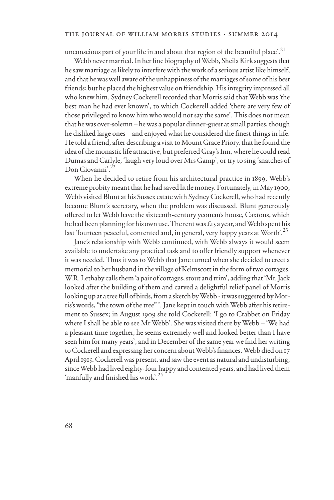unconscious part of your life in and about that region of the beautiful place'.<sup>21</sup>

Webb never married. In her fine biography of Webb, Sheila Kirk suggests that he saw marriage as likely to interfere with the work of a serious artist like himself, and that he was well aware of the unhappiness of the marriages of some of his best friends; but he placed the highest value on friendship. His integrity impressed all who knew him. Sydney Cockerell recorded that Morris said that Webb was 'the best man he had ever known', to which Cockerell added 'there are very few of those privileged to know him who would not say the same'.This does not mean that he was over-solemn – he was a popular dinner-guest at small parties, though he disliked large ones – and enjoyed what he considered the finest things in life. He told a friend, after describing a visit to Mount Grace Priory, that he found the idea of the monastic life attractive, but preferred Gray's Inn, where he could read Dumas and Carlyle, 'laugh very loud over Mrs Gamp', or try to sing 'snatches of Don Giovanni'.<sup>22</sup>

When he decided to retire from his architectural practice in 1899, Webb's extreme probity meant that he had saved little money. Fortunately, in May 1900, Webb visited Blunt at his Sussex estate with Sydney Cockerell, who had recently become Blunt's secretary, when the problem was discussed. Blunt generously offered to let Webb have the sixteenth-century yeoman's house, Caxtons, which he had been planning for his own use. The rent was £15 a year, and Webb spent his last 'fourteen peaceful, contented and, in general, very happy years at Worth'.<sup>23</sup>

Jane's relationship with Webb continued, with Webb always it would seem available to undertake any practical task and to offer friendly support whenever it was needed. Thus it was to Webb that Jane turned when she decided to erect a memorial to her husband in the village of Kelmscott in the form of two cottages. W.R. Lethaby calls them 'a pair of cottages, stout and trim', adding that 'Mr. Jack looked after the building of them and carved a delightful relief panel of Morris looking up at a tree full of birds, from a sketch by Webb - it was suggested by Morris's words, "the town of the tree" '.Jane kept in touch with Webb after his retirement to Sussex; in August 1909 she told Cockerell: 'I go to Crabbet on Friday where I shall be able to see Mr Webb'. She was visited there by Webb – 'We had a pleasant time together, he seems extremely well and looked better than I have seen him for many years', and in December of the same year we find her writing to Cockerell and expressing her concern about Webb's finances. Webb died on 17 April 1915. Cockerell was present, and saw the event as natural and undisturbing, since Webb had lived eighty-four happy and contented years, and had lived them 'manfully and finished his work'. $^{24}$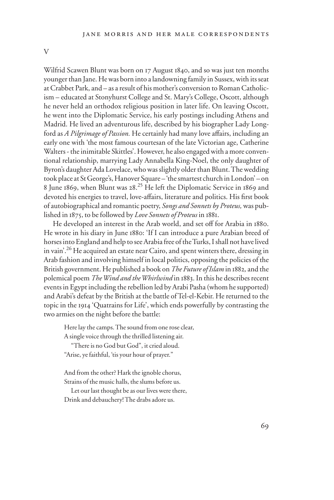V

Wilfrid Scawen Blunt was born on 17 August 1840, and so was just ten months younger than Jane. He was born into a landowning family in Sussex, with its seat at Crabbet Park, and – as a result of his mother's conversion to Roman Catholicism – educated at Stonyhurst College and St. Mary's College, Oscott, although he never held an orthodox religious position in later life. On leaving Oscott, he went into the Diplomatic Service, his early postings including Athens and Madrid. He lived an adventurous life, described by his biographer Lady Longford as *A Pilgrimage of Passion*. He certainly had many love affairs, including an early one with 'the most famous courtesan of the late Victorian age, Catherine Walters - the inimitable Skittles'. However, he also engaged with a more conventional relationship, marrying Lady Annabella King-Noel, the only daughter of Byron's daughter Ada Lovelace, who was slightly older than Blunt. The wedding took place at St George's, Hanover Square – 'the smartest church in London' – on 8 June 1869, when Blunt was 28. 25 He left the Diplomatic Service in 1869 and devoted his energies to travel, love-affairs, literature and politics. His first book of autobiographical and romantic poetry, *Songs and Sonnets by Proteus,* was published in 1875, to be followed by *Love Sonnets of Proteus* in 1881.

He developed an interest in the Arab world, and set off for Arabia in 1880. He wrote in his diary in June 1880: 'If I can introduce a pure Arabian breed of horses into England and help to see Arabia free of the Turks, I shall not have lived in vain'.<sup>26</sup> He acquired an estate near Cairo, and spent winters there, dressing in Arab fashion and involving himself in local politics, opposing the policies of the British government. He published a book on *The Future of Islam* in 1882*,* and the polemical poem *The Wind and the Whirlwind* in 1883. In this he describes recent events in Egypt including the rebellion led by Arabi Pasha (whom he supported) and Arabi's defeat by the British at the battle of Tel-el-Kebir. He returned to the topic in the 1914 'Quatrains for Life', which ends powerfully by contrasting the two armies on the night before the battle:

Here lay the camps. The sound from one rose clear, A single voice through the thrilled listening air.

 "There is no God but God", it cried aloud. "Arise, ye faithful, 'tis your hour of prayer."

And from the other? Hark the ignoble chorus, Strains of the music halls, the slums before us.

 Let our last thought be as our lives were there, Drink and debauchery! The drabs adore us.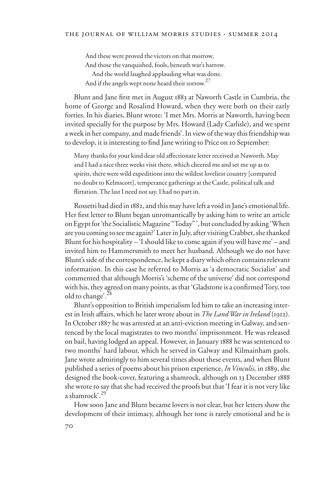And these were proved the victors on that morrow, And those the vanquished, fools, beneath war's harrow. And the world laughed applauding what was done. And if the angels wept none heard their sorrow.<sup>27</sup>

Blunt and Jane first met in August 1883 at Naworth Castle in Cumbria, the home of George and Rosalind Howard, when they were both on their early forties. In his diaries, Blunt wrote: 'I met Mrs. Morris at Naworth, having been invited specially for the purpose by Mrs. Howard (Lady Carlisle), and we spent a week in her company, and made friends'. In view of the way this friendship was to develop, it is interesting to find Jane writing to Price on 10 September:

Many thanks for your kind dear old affectionate letter received at Naworth. May and I had a nice three weeks visit there, which cheered me and set me up as to spirits, there were wild expeditions into the wildest loveliest country [compared no doubt to Kelmscott], temperance gatherings at the Castle, political talk and flirtation. The last I need not say, I had no part in.

Rossetti had died in 1882, and this may have left a void in Jane's emotional life. Her first letter to Blunt began unromantically by asking him to write an article on Egypt for 'the Socialistic Magazine "Today" ', but concluded by asking 'When are you coming to see me again?'Later in July, after visiting Crabbet, she thanked Blunt for his hospitality – 'I should like to come again if you will have me' – and invited him to Hammersmith to meet her husband. Although we do not have Blunt's side of the correspondence, he kept a diary which often contains relevant information. In this case he referred to Morris as 'a democratic Socialist' and commented that although Morris's 'scheme of the universe' did not correspond with his, they agreed on many points, as that 'Gladstone is a confirmed Tory, too old to change'.<sup>28</sup>

Blunt's opposition to British imperialism led him to take an increasing interest in Irish affairs, which he later wrote about in *The Land War in Ireland* (1912). In October 1887 he was arrested at an anti-eviction meeting in Galway, and sentenced by the local magistrates to two months' imprisonment. He was released on bail, having lodged an appeal. However, in January 1888 he was sentenced to two months' hard labour, which he served in Galway and Kilmainham gaols. Jane wrote admiringly to him several times about these events, and when Blunt published a series of poems about his prison experience, *In Vinculis,* in 1889, she designed the book-cover, featuring a shamrock, although on 13 December 1888 she wrote to say that she had received the proofs but that 'I fear it is not very like a shamrock'.<sup>29</sup>

How soon Jane and Blunt became lovers is not clear, but her letters show the development of their intimacy, although her tone is rarely emotional and he is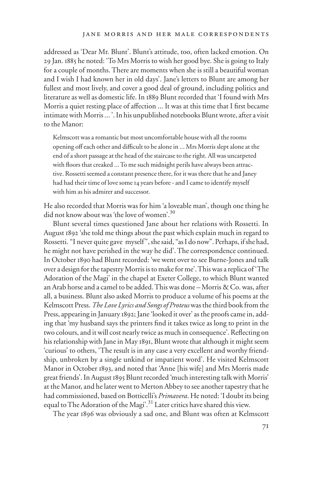addressed as 'Dear Mr. Blunt'. Blunt's attitude, too, often lacked emotion. On 29 Jan. 1885 he noted: 'To Mrs Morris to wish her good bye. She is going to Italy for a couple of months. There are moments when she is still a beautiful woman and I wish I had known her in old days'. Jane's letters to Blunt are among her fullest and most lively, and cover a good deal of ground, including politics and literature as well as domestic life. In 1889 Blunt recorded that 'I found with Mrs Morris a quiet resting place of affection ... It was at this time that I first became intimate with Morris ... '. In his unpublished notebooks Blunt wrote, after a visit to the Manor:

Kelmscott was a romantic but most uncomfortable house with all the rooms opening off each other and difficult to be alone in ... Mrs Morris slept alone at the end of a short passage at the head of the staircase to the right. All was uncarpeted with floors that creaked ... To me such midnight perils have always been attractive. Rossetti seemed a constant presence there, for it was there that he and Janey had had their time of love some 14 years before - and I came to identify myself with him as his admirer and successor.

He also recorded that Morris was for him 'a loveable man', though one thing he did not know about was 'the love of women'.<sup>30</sup>

Blunt several times questioned Jane about her relations with Rossetti. In August 1892 'she told me things about the past which explain much in regard to Rossetti. "I never quite gave myself", she said, "as I do now". Perhaps, if she had, he might not have perished in the way he did'. The correspondence continued. In October 1890 had Blunt recorded: 'we went over to see Burne-Jones and talk over a design for the tapestry Morris is to make for me'. This was a replica of 'The Adoration of the Magi' in the chapel at Exeter College, to which Blunt wanted an Arab horse and a camel to be added. This was done – Morris & Co. was, after all, a business. Blunt also asked Morris to produce a volume of his poems at the Kelmscott Press. *The Love Lyrics and Songs of Proteus* was the third book from the Press, appearing in January 1892; Jane 'looked it over' as the proofs came in, adding that 'my husband says the printers find it takes twice as long to print in the two colours, and it will cost nearly twice as much in consequence'. Reflecting on his relationship with Jane in May 1891, Blunt wrote that although it might seem 'curious' to others, 'The result is in any case a very excellent and worthy friendship, unbroken by a single unkind or impatient word'. He visited Kelmscott Manor in October 1893, and noted that 'Anne [his wife] and Mrs Morris made great friends'.In August 1895 Blunt recorded 'much interesting talk with Morris' at the Manor, and he later went to Merton Abbey to see another tapestry that he had commissioned, based on Botticelli's *Primavera*. He noted: 'I doubt its being equal to The Adoration of the Magi'.<sup>31</sup> Later critics have shared this view.

The year 1896 was obviously a sad one, and Blunt was often at Kelmscott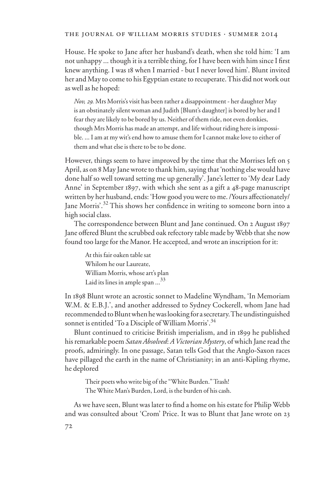#### the journal of william morris studies . summer 2014

House. He spoke to Jane after her husband's death, when she told him: 'I am not unhappy ... though it is a terrible thing, for I have been with him since I first knew anything. I was 18 when I married - but I never loved him'. Blunt invited her and May to come to his Egyptian estate to recuperate. This did not work out as well as he hoped:

*Nov, 29.* Mrs Morris's visit has been rather a disappointment - her daughter May is an obstinately silent woman and Judith [Blunt's daughter] is bored by her and I fear they are likely to be bored by us. Neither of them ride, not even donkies, though Mrs Morris has made an attempt, and life without riding here is impossible. ... I am at my wit's end how to amuse them for I cannot make love to either of them and what else is there to be to be done.

However, things seem to have improved by the time that the Morrises left on 5 April, as on 8 May Jane wrote to thank him, saying that 'nothing else would have done half so well toward setting me up generally'. Jane's letter to 'My dear Lady Anne' in September 1897, with which she sent as a gift a 48-page manuscript written by her husband, ends: 'How good you were to me. /Yours affectionately/ Jane Morris'.<sup>32</sup> This shows her confidence in writing to someone born into a high social class.

The correspondence between Blunt and Jane continued. On 2 August 1897 Jane offered Blunt the scrubbed oak refectory table made by Webb that she now found too large for the Manor. He accepted, and wrote an inscription for it:

At this fair oaken table sat Whilom he our Laureate, William Morris, whose art's plan Laid its lines in ample span ...<sup>33</sup>

In 1898 Blunt wrote an acrostic sonnet to Madeline Wyndham, 'In Memoriam W.M. & E.B.J.', and another addressed to Sydney Cockerell, whom Jane had recommended to Blunt when he was looking for a secretary. The undistinguished sonnet is entitled 'To a Disciple of William Morris'.<sup>34</sup>

Blunt continued to criticise British imperialism, and in 1899 he published his remarkable poem *Satan Absolved*: *A Victorian Mystery*, of which Jane read the proofs, admiringly. In one passage, Satan tells God that the Anglo-Saxon races have pillaged the earth in the name of Christianity; in an anti-Kipling rhyme, he deplored

Their poets who write big of the "White Burden." Trash! The White Man's Burden, Lord, is the burden of his cash.

As we have seen, Blunt was later to find a home on his estate for Philip Webb and was consulted about 'Crom' Price. It was to Blunt that Jane wrote on 23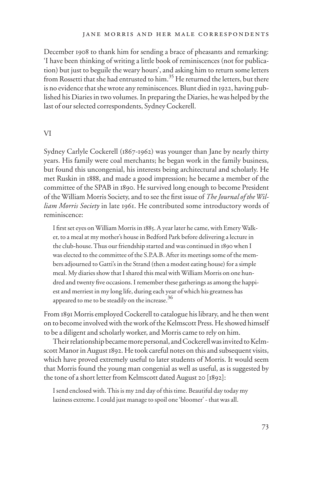December 1908 to thank him for sending a brace of pheasants and remarking: 'I have been thinking of writing a little book of reminiscences (not for publication) but just to beguile the weary hours', and asking him to return some letters from Rossetti that she had entrusted to him.<sup>35</sup> He returned the letters, but there is no evidence that she wrote any reminiscences. Blunt died in 1922, having published his Diaries in two volumes. In preparing the Diaries, he was helped by the last of our selected correspondents, Sydney Cockerell.

#### VI

Sydney Carlyle Cockerell (1867-1962) was younger than Jane by nearly thirty years. His family were coal merchants; he began work in the family business, but found this uncongenial, his interests being architectural and scholarly. He met Ruskin in 1888, and made a good impression; he became a member of the committee of the SPAB in 1890. He survived long enough to become President of the William Morris Society, and to see the first issue of *The Journal of the William Morris Society* in late 1961. He contributed some introductory words of reminiscence:

I first set eyes on William Morris in 1885. A year later he came, with Emery Walker, to a meal at my mother's house in Bedford Park before delivering a lecture in the club-house. Thus our friendship started and was continued in 1890 when I was elected to the committee of the S.P.A.B. After its meetings some of the members adjourned to Gatti's in the Strand (then a modest eating house) for a simple meal. My diaries show that I shared this meal with William Morris on one hundred and twenty five occasions. I remember these gatherings as among the happiest and merriest in my long life, during each year of which his greatness has appeared to me to be steadily on the increase.<sup>36</sup>

From 1891 Morris employed Cockerell to catalogue his library, and he then went on to become involved with the work of the Kelmscott Press. He showed himself to be a diligent and scholarly worker, and Morris came to rely on him.

Their relationship became more personal, and Cockerell was invited to Kelmscott Manor in August 1892. He took careful notes on this and subsequent visits, which have proved extremely useful to later students of Morris. It would seem that Morris found the young man congenial as well as useful, as is suggested by the tone of a short letter from Kelmscott dated August 20 [1892]:

I send enclosed with. This is my 2nd day of this time. Beautiful day today my laziness extreme. I could just manage to spoil one 'bloomer' - that was all.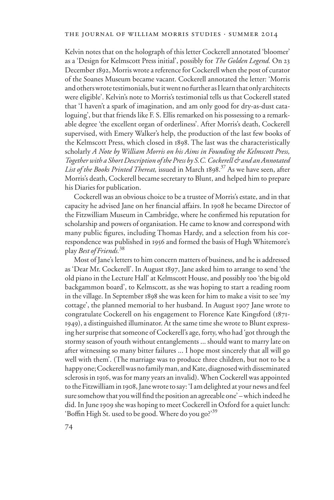Kelvin notes that on the holograph of this letter Cockerell annotated 'bloomer' as a 'Design for Kelmscott Press initial', possibly for *The Golden Legend.* On 23 December 1892, Morris wrote a reference for Cockerell when the post of curator of the Soanes Museum became vacant. Cockerell annotated the letter: 'Morris and others wrote testimonials, but it went no further as I learn that only architects were eligible'. Kelvin's note to Morris's testimonial tells us that Cockerell stated that 'I haven't a spark of imagination, and am only good for dry-as-dust cataloguing', but that friends like F. S. Ellis remarked on his possessing to a remarkable degree 'the excellent organ of orderliness'. After Morris's death, Cockerell supervised, with Emery Walker's help, the production of the last few books of the Kelmscott Press, which closed in 1898. The last was the characteristically scholarly *A Note by William Morris on his Aims in Founding the Kelmscott Press, Together with a Short Description of the Press by S.C. Cockerell & and an Annotated List of the Books Printed Thereat,* issued in March 1898. 37 As we have seen, after Morris's death, Cockerell became secretary to Blunt, and helped him to prepare his Diaries for publication.

Cockerell was an obvious choice to be a trustee of Morris's estate, and in that capacity he advised Jane on her financial affairs. In 1908 he became Director of the Fitzwilliam Museum in Cambridge, where he confirmed his reputation for scholarship and powers of organisation. He came to know and correspond with many public figures, including Thomas Hardy, and a selection from his correspondence was published in 1956 and formed the basis of Hugh Whitemore's play *Best of Friends.*<sup>38</sup>

Most of Jane's letters to him concern matters of business, and he is addressed as 'Dear Mr. Cockerell'. In August 1897, Jane asked him to arrange to send 'the old piano in the Lecture Hall' at Kelmscott House, and possibly too 'the big old backgammon board', to Kelmscott, as she was hoping to start a reading room in the village. In September 1898 she was keen for him to make a visit to see 'my cottage', the planned memorial to her husband. In August 1907 Jane wrote to congratulate Cockerell on his engagement to Florence Kate Kingsford (1871- 1949), a distinguished illuminator. At the same time she wrote to Blunt expressing her surprise that someone of Cockerell's age, forty, who had 'got through the stormy season of youth without entanglements ... should want to marry late on after witnessing so many bitter failures ... I hope most sincerely that all will go well with them'. (The marriage was to produce three children, but not to be a happy one; Cockerell was no family man, and Kate, diagnosed with disseminated sclerosis in 1916, was for many years an invalid). When Cockerell was appointed to the Fitzwilliam in 1908, Jane wrote to say: 'I am delighted at your news and feel sure somehow that you will find the position an agreeable one' – which indeed he did. In June 1909 she was hoping to meet Cockerell in Oxford for a quiet lunch: 'Boffin High St. used to be good. Where do you go?'<sup>39</sup>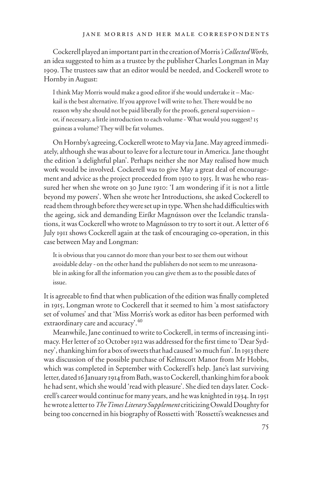Cockerell played an important part in the creation of Morris*'s Collected Works,*  an idea suggested to him as a trustee by the publisher Charles Longman in May 1909. The trustees saw that an editor would be needed, and Cockerell wrote to Hornby in August:

I think May Morris would make a good editor if she would undertake it – Mackail is the best alternative. If you approve I will write to her. There would be no reason why she should not be paid liberally for the proofs, general supervision – or, if necessary, a little introduction to each volume - What would you suggest? 15 guineas a volume? They will be fat volumes.

On Hornby's agreeing, Cockerell wrote to May via Jane. May agreed immediately, although she was about to leave for a lecture tour in America. Jane thought the edition 'a delightful plan'. Perhaps neither she nor May realised how much work would be involved. Cockerell was to give May a great deal of encouragement and advice as the project proceeded from 1910 to 1915. It was he who reassured her when she wrote on 30 June 1910: 'I am wondering if it is not a little beyond my powers'. When she wrote her Introductions, she asked Cockerell to read them through before they were set up in type. When she had difficulties with the ageing, sick and demanding Eiríkr Magnússon over the Icelandic translations, it was Cockerell who wrote to Magnússon to try to sort it out. A letter of 6 July 1911 shows Cockerell again at the task of encouraging co-operation, in this case between May and Longman:

It is obvious that you cannot do more than your best to see them out without avoidable delay - on the other hand the publishers do not seem to me unreasonable in asking for all the information you can give them as to the possible dates of issue.

It is agreeable to find that when publication of the edition was finally completed in 1915, Longman wrote to Cockerell that it seemed to him 'a most satisfactory set of volumes' and that 'Miss Morris's work as editor has been performed with extraordinary care and accuracy<sup>240</sup>

Meanwhile, Jane continued to write to Cockerell, in terms of increasing intimacy. Her letter of 20 October 1912 was addressed for the first time to 'Dear Sydney', thanking him for a box of sweets that had caused 'so much fun'. In 1913 there was discussion of the possible purchase of Kelmscott Manor from Mr Hobbs, which was completed in September with Cockerell's help. Jane's last surviving letter, dated 16 January 1914 from Bath, was to Cockerell, thanking him for a book he had sent, which she would 'read with pleasure'. She died ten days later. Cockerell's career would continue for many years, and he was knighted in 1934. In 1951 he wrote a letter to *The Times Literary Supplement* criticizing Oswald Doughty for being too concerned in his biography of Rossetti with 'Rossetti's weaknesses and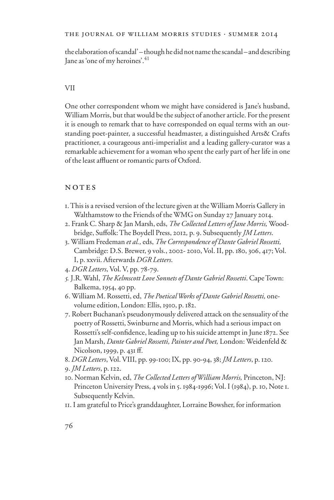## the journal of william morris studies . summer 2014

the elaboration of scandal' – though he did not name the scandal – and describing Jane as 'one of my heroines'.<sup>41</sup>

#### VII

One other correspondent whom we might have considered is Jane's husband, William Morris, but that would be the subject of another article. For the present it is enough to remark that to have corresponded on equal terms with an outstanding poet-painter, a successful headmaster, a distinguished Arts& Crafts practitioner, a courageous anti-imperialist and a leading gallery-curator was a remarkable achievement for a woman who spent the early part of her life in one of the least affluent or romantic parts of Oxford.

### NOTES

- 1. This is a revised version of the lecture given at the William Morris Gallery in Walthamstow to the Friends of the WMG on Sunday 27 January 2014.
- 2. Frank C. Sharp & Jan Marsh, eds, *The Collected Letters of Jane Morris,* Woodbridge, Suffolk: The Boydell Press, 2012, p. 9. Subsequently *JM Letters*.
- 3. William Fredeman *et al.,* eds, *The Correspondence of Dante Gabriel Rossetti,*  Cambridge: D.S. Brewer, 9 vols., 2002- 2010, Vol. II, pp. 180, 306, 417; Vol. I, p. xxvii. Afterwards *DGR Letters*.
- 4. *DGR Letters*, Vol. V, pp. 78-79.
- *5.* J.R. Wahl, *The Kelmscott Love Sonnets of Dante Gabriel Rossetti*. Cape Town: Balkema, 1954, 40 pp.
- 6. William M. Rossetti, ed, *The Poetical Works of Dante Gabriel Rossetti*, onevolume edition, London: Ellis, 1910, p. 182.
- 7. Robert Buchanan's pseudonymously delivered attack on the sensuality of the poetry of Rossetti, Swinburne and Morris, which had a serious impact on Rossetti's self-confidence, leading up to his suicide attempt in June 1872. See Jan Marsh, *Dante Gabriel Rossetti, Painter and Poet,* London: Weidenfeld & Nicolson, 1999, p. 431 ff.
- 8. *DGR Letters*, Vol. VIII, pp. 99-100; IX, pp. 90-94, 38; *JM Letters*, p. 120.

- 10. Norman Kelvin, ed, *The Collected Letters of William Morris,* Princeton, NJ: Princeton University Press, 4 vols in 5. 1984-1996; Vol. I (1984), p. 10, Note 1. Subsequently Kelvin.
- 11. I am grateful to Price's granddaughter, Lorraine Bowsher, for information

<sup>9</sup>. *JM Letters*, p. 122.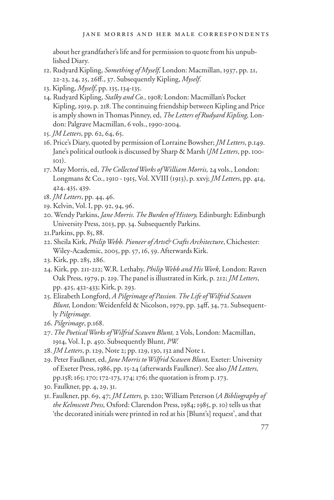about her grandfather's life and for permission to quote from his unpublished Diary.

- 12. Rudyard Kipling, *Something of Myself,* London: Macmillan, 1937, pp. 21, 22-23, 24, 25, 26ff., 37. Subsequently Kipling, *Myself*.
- 13. Kipling, *Myself*, pp. 135, 134-135.
- 14. Rudyard Kipling, *Stalky and Co.,* 1908*;* London: Macmillan's Pocket Kipling, 1919, p. 218. The continuing friendship between Kipling and Price is amply shown in Thomas Pinney, ed, *The Letters of Rudyard Kipling,* London: Palgrave Macmillan, 6 vols., 1990-2004.
- 15. *JM Letters*, pp. 62, 64, 65.
- 16. Price's Diary, quoted by permission of Lorraine Bowsher; *JM Letters*, p.149. Jane's political outlook is discussed by Sharp & Marsh (*JM Letters*, pp. 100- 101).
- 17. May Morris, ed, *The Collected Works of William Morris,* 24 vols., London: Longmans & Co., 1910 - 1915, Vol. XVIII (1913), p. xxvj; *JM Letters*, pp. 414, 424, 435, 439.
- 18. *JM Letters*, pp. 44, 46.
- 19. Kelvin, Vol. I, pp. 92, 94, 96.
- 20. Wendy Parkins, *Jane Morris. The Burden of History,* Edinburgh: Edinburgh University Press, 2013, pp. 34. Subsequently Parkins.
- 21.Parkins, pp. 85, 88.
- 22. Sheila Kirk, *Philip Webb. Pioneer of Arts& Crafts Architecture*, Chichester: Wiley-Academic, 2005, pp. 57, 16, 59. Afterwards Kirk.
- 23. Kirk, pp. 285, 286.
- 24. Kirk, pp. 211-212; W.R. Lethaby, *Philip Webb and His Work,* London: Raven Oak Press, 1979, p. 219. The panel is illustrated in Kirk, p. 212; *JM Letters*, pp. 425, 432-433; Kirk, p. 293.
- 25. Elizabeth Longford, *A Pilgrimage of Passion. The Life of Wilfrid Scawen Blunt, London: Weidenfeld & Nicolson, 1979, pp. 34ff, 34, 72. Subsequent*ly *Pilgrimage.*
- 26. *Pilgrimage*, p.168.
- 27. *The Poetical Works of Wilfrid Scawen Blunt,* 2 Vols, London: Macmillan, 1914, Vol. I, p. 450. Subsequently Blunt, *PW.*
- 28. *JM Letters*, p. 129, Note 2; pp. 129, 130, 132 and Note 1.
- 29. Peter Faulkner, ed, *Jane Morris to Wilfrid Scawen Blunt,* Exeter: University of Exeter Press, 1986, pp. 15-24 (afterwards Faulkner). See also *JM Letters,*  pp.158; 165; 170; 172-173, 174; 176; the quotation is from p. 173.
- 30. Faulkner, pp. 4, 29, 31.
- 31. Faulkner, pp. 69, 47; *JM Letters,* p. 220; William Peterson (*A Bibliography of the Kelmscott Press,* Oxford: Clarendon Press, 1984; 1985, p. 10) tells us that 'the decorated initials were printed in red at his [Blunt's] request', and that